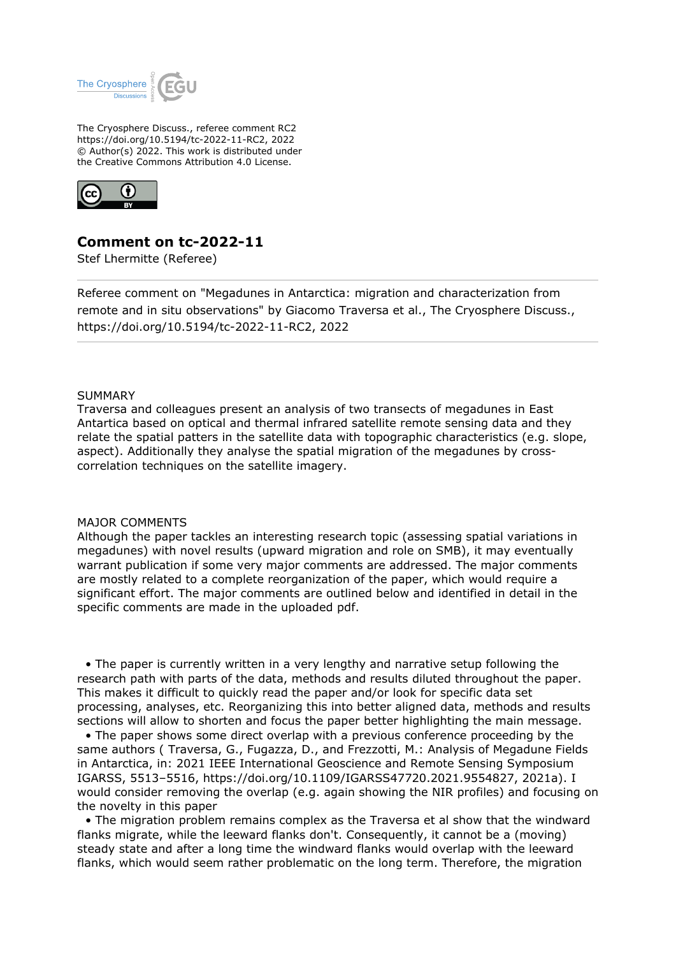

The Cryosphere Discuss., referee comment RC2 https://doi.org/10.5194/tc-2022-11-RC2, 2022 © Author(s) 2022. This work is distributed under the Creative Commons Attribution 4.0 License.



## **Comment on tc-2022-11**

Stef Lhermitte (Referee)

Referee comment on "Megadunes in Antarctica: migration and characterization from remote and in situ observations" by Giacomo Traversa et al., The Cryosphere Discuss., https://doi.org/10.5194/tc-2022-11-RC2, 2022

## **SUMMARY**

Traversa and colleagues present an analysis of two transects of megadunes in East Antartica based on optical and thermal infrared satellite remote sensing data and they relate the spatial patters in the satellite data with topographic characteristics (e.g. slope, aspect). Additionally they analyse the spatial migration of the megadunes by crosscorrelation techniques on the satellite imagery.

## MAJOR COMMENTS

Although the paper tackles an interesting research topic (assessing spatial variations in megadunes) with novel results (upward migration and role on SMB), it may eventually warrant publication if some very major comments are addressed. The major comments are mostly related to a complete reorganization of the paper, which would require a significant effort. The major comments are outlined below and identified in detail in the specific comments are made in the uploaded pdf.

 • The paper is currently written in a very lengthy and narrative setup following the research path with parts of the data, methods and results diluted throughout the paper. This makes it difficult to quickly read the paper and/or look for specific data set processing, analyses, etc. Reorganizing this into better aligned data, methods and results sections will allow to shorten and focus the paper better highlighting the main message.

 • The paper shows some direct overlap with a previous conference proceeding by the same authors ( Traversa, G., Fugazza, D., and Frezzotti, M.: Analysis of Megadune Fields in Antarctica, in: 2021 IEEE International Geoscience and Remote Sensing Symposium IGARSS, 5513–5516, https://doi.org/10.1109/IGARSS47720.2021.9554827, 2021a). I would consider removing the overlap (e.g. again showing the NIR profiles) and focusing on the novelty in this paper

 • The migration problem remains complex as the Traversa et al show that the windward flanks migrate, while the leeward flanks don't. Consequently, it cannot be a (moving) steady state and after a long time the windward flanks would overlap with the leeward flanks, which would seem rather problematic on the long term. Therefore, the migration